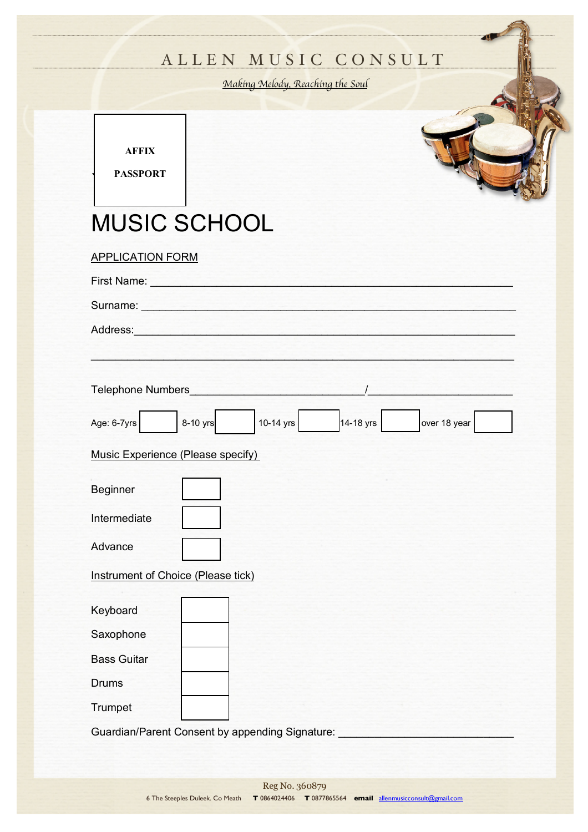## ALLEN MUSIC CONSULT

*Making Melody, Reaching the Soul*

**AFFIX**

**PASSPORT** 

## MUSIC SCHOOL

| MUSIC SCHOOL                                                                                                                                                                                                                   |
|--------------------------------------------------------------------------------------------------------------------------------------------------------------------------------------------------------------------------------|
| <b>APPLICATION FORM</b>                                                                                                                                                                                                        |
| First Name: Name: Name: Name: Name: Name: Name: Name: Name: Name: Name: Name: Name: Name: Name: Name: Name: Name: Name: Name: Name: Name: Name: Name: Name: Name: Name: Name: Name: Name: Name: Name: Name: Name: Name: Name:  |
|                                                                                                                                                                                                                                |
| Address: <u>Address:</u>                                                                                                                                                                                                       |
|                                                                                                                                                                                                                                |
| Telephone Numbers and the contract of the contract of the contract of the contract of the contract of the contract of the contract of the contract of the contract of the contract of the contract of the contract of the cont |
| 8-10 yrs<br>10-14 yrs<br>14-18 yrs<br>over 18 year<br>Age: 6-7yrs                                                                                                                                                              |
| Music Experience (Please specify)                                                                                                                                                                                              |
| <b>Beginner</b>                                                                                                                                                                                                                |
| Intermediate                                                                                                                                                                                                                   |
| Advance                                                                                                                                                                                                                        |
| Instrument of Choice (Please tick)                                                                                                                                                                                             |
| Keyboard                                                                                                                                                                                                                       |
| Saxophone                                                                                                                                                                                                                      |
| <b>Bass Guitar</b>                                                                                                                                                                                                             |
| <b>Drums</b>                                                                                                                                                                                                                   |
| Trumpet                                                                                                                                                                                                                        |

Guardian/Parent Consent by appending Signature: